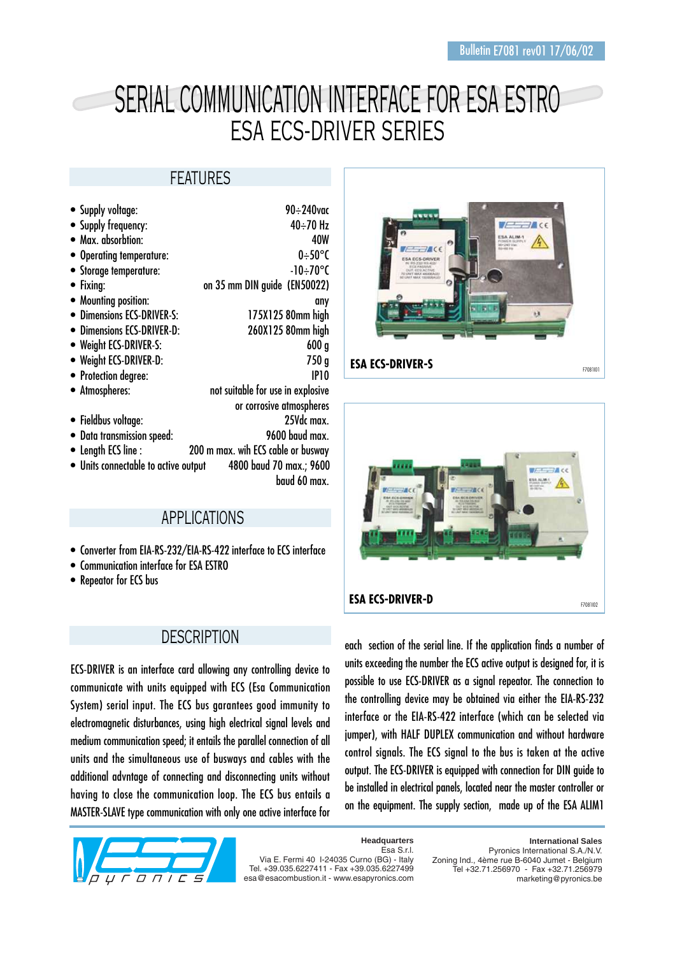# SERIAL COMMUNICATION INTERFACE FOR ESA ESTRO ESA ECS-DRIVER SERIES

## FEATURES

| • Supply voltage:                    | 90÷240vac                          |
|--------------------------------------|------------------------------------|
| • Supply frequency:                  | 40÷70 Hz                           |
| • Max. absorbtion:                   | 40W                                |
| • Operating temperature:             | $0 + 50^{\circ}$ C                 |
| • Storage temperature:               | -10÷70°C                           |
| Fixing:                              | on 35 mm DIN guide (EN50022)       |
| • Mounting position:                 | any                                |
| <b>Dimensions ECS-DRIVER-S:</b>      | 175X125 80mm high                  |
| <b>Dimensions ECS-DRIVER-D:</b>      | 260X125 80mm high                  |
| • Weight ECS-DRIVER-S:               | 600 <sub>g</sub>                   |
| • Weight ECS-DRIVER-D:               | 750g                               |
| • Protection degree:                 | <b>IP10</b>                        |
| • Atmospheres:                       | not suitable for use in explosive  |
|                                      | or corrosive atmospheres           |
| • Fieldbus voltage:                  | 25Vdc max.                         |
| Data transmission speed:             | 9600 baud max.                     |
| • Length ECS line :                  | 200 m max. wih ECS cable or busway |
| • Units connectable to active output | 4800 baud 70 max.; 9600            |
|                                      | baud 60 max.                       |

## APPLICATIONS

- Converter from EIA-RS-232/EIA-RS-422 interface to ECS interface
- Communication interface for ESA ESTRO
- Repeator for ECS bus

#### **DESCRIPTION**

ECS-DRIVER is an interface card allowing any controlling device to communicate with units equipped with ECS (Esa Communication System) serial input. The ECS bus garantees good immunity to electromagnetic disturbances, using high electrical signal levels and medium communication speed; it entails the parallel connection of all units and the simultaneous use of busways and cables with the additional advntage of connecting and disconnecting units without having to close the communication loop. The ECS bus entails a MASTER-SLAVE type communication with only one active interface for



Esa S.r.l. Via E. Fermi 40 I-24035 Curno (BG) - Italy Tel. +39.035.6227411 - Fax +39.035.6227499 esa@esacombustion.it - www.esapyronics.com

**Headquarters**





each section of the serial line. If the application finds a number of units exceeding the number the ECS active output is designed for, it is possible to use ECS-DRIVER as a signal repeator. The connection to the controlling device may be obtained via either the EIA-RS-232 interface or the EIA-RS-422 interface (which can be selected via jumper), with HALF DUPLEX communication and without hardware control signals. The ECS signal to the bus is taken at the active output. The ECS-DRIVER is equipped with connection for DIN guide to be installed in electrical panels, located near the master controller or on the equipment. The supply section, made up of the ESA ALIM1

> **International Sales** Pyronics International S.A./N.V. Zoning Ind., 4ème rue B-6040 Jumet - Belgium

Tel +32.71.256970 - Fax +32.71.256979 marketing@pyronics.be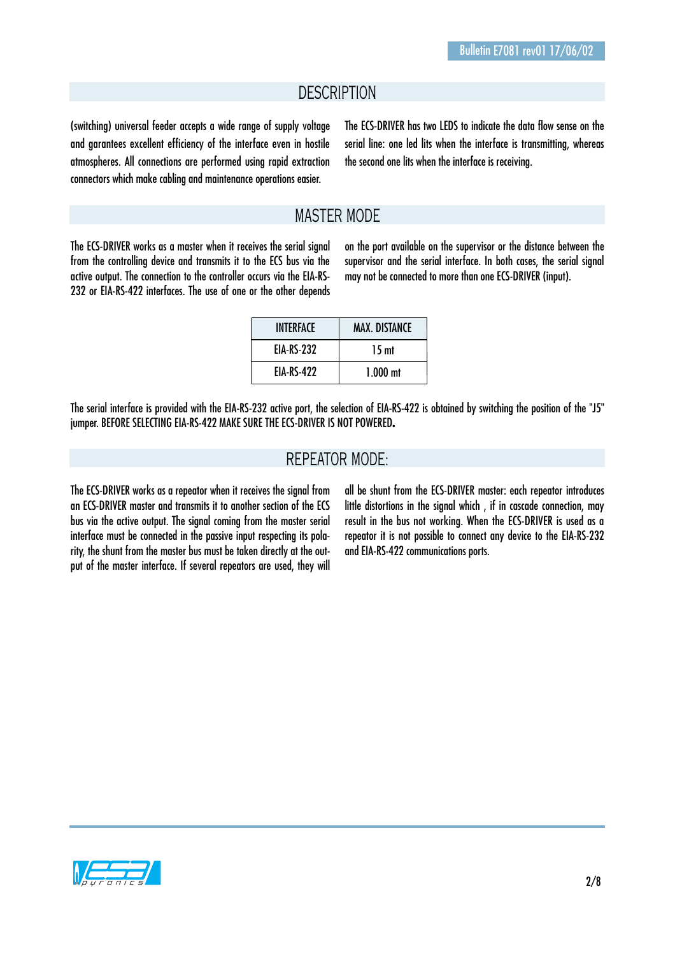#### **DESCRIPTION**

(switching) universal feeder accepts a wide range of supply voltage and garantees excellent efficiency of the interface even in hostile atmospheres. All connections are performed using rapid extraction connectors which make cabling and maintenance operations easier.

The ECS-DRIVER has two LEDS to indicate the data flow sense on the serial line: one led lits when the interface is transmitting, whereas the second one lits when the interface is receiving.

#### MASTER MODE

The ECS-DRIVER works as a master when it receives the serial signal from the controlling device and transmits it to the ECS bus via the active output. The connection to the controller occurs via the EIA-RS-232 or EIA-RS-422 interfaces. The use of one or the other depends on the port available on the supervisor or the distance between the supervisor and the serial interface. In both cases, the serial signal may not be connected to more than one ECS-DRIVER (input).

| <b>INTERFACE</b>  | <b>MAX. DISTANCE</b> |  |
|-------------------|----------------------|--|
| <b>EIA-RS-232</b> | 15 <sub>mt</sub>     |  |
| <b>EIA-RS-422</b> | $1.000$ mt           |  |

The serial interface is provided with the EIA-RS-232 active port, the selection of EIA-RS-422 is obtained by switching the position of the "J5" jumper. BEFORE SELECTING EIA-RS-422 MAKE SURE THE ECS-DRIVER IS NOT POWERED**.**

#### REPEATOR MODE:

The ECS-DRIVER works as a repeator when it receives the signal from an ECS-DRIVER master and transmits it to another section of the ECS bus via the active output. The signal coming from the master serial interface must be connected in the passive input respecting its polarity, the shunt from the master bus must be taken directly at the output of the master interface. If several repeators are used, they will all be shunt from the ECS-DRIVER master: each repeator introduces little distortions in the signal which, if in cascade connection, may result in the bus not working. When the ECS-DRIVER is used as a repeator it is not possible to connect any device to the EIA-RS-232 and EIA-RS-422 communications ports.

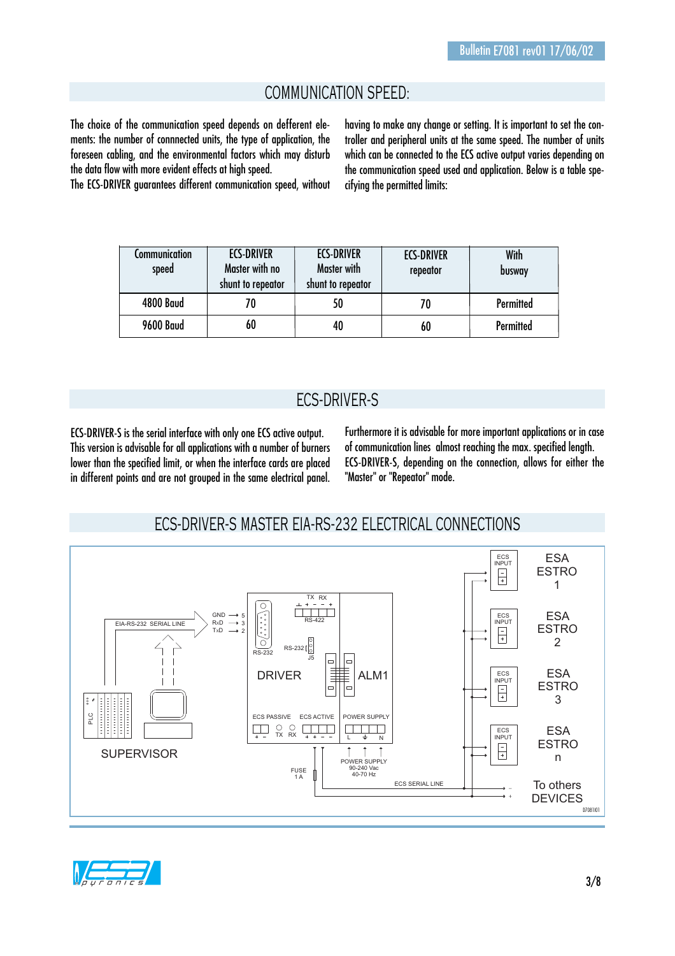## COMMUNICATION SPEED:

The choice of the communication speed depends on defferent elements: the number of connnected units, the type of application, the foreseen cabling, and the environmental factors which may disturb the data flow with more evident effects at high speed.

The ECS-DRIVER guarantees different communication speed, without

having to make any change or setting. It is important to set the controller and peripheral units at the same speed. The number of units which can be connected to the ECS active output varies depending on the communication speed used and application. Below is a table specifying the permitted limits:

| Communication<br>speed | <b>ECS-DRIVER</b><br>Master with no | <b>ECS-DRIVER</b><br>Master with | <b>ECS-DRIVER</b><br>repeator | With<br>busway |
|------------------------|-------------------------------------|----------------------------------|-------------------------------|----------------|
|                        | shunt to repeator                   | shunt to repeator                |                               |                |
| <b>4800 Baud</b>       |                                     | 50                               | 70                            | Permitted      |
| <b>9600 Baud</b>       | 60                                  | 40                               | 60                            | Permitted      |

## ECS-DRIVER-S

ECS-DRIVER-S is the serial interface with only one ECS active output. This version is advisable for all applications with a number of burners lower than the specified limit, or when the interface cards are placed in different points and are not grouped in the same electrical panel. Furthermore it is advisable for more important applications or in case of communication lines almost reaching the max. specified length. ECS-DRIVER-S, depending on the connection, allows for either the "Master" or "Repeator" mode.

#### ECS-DRIVER-S MASTER EIA-RS-232 ELECTRICAL CONNECTIONS



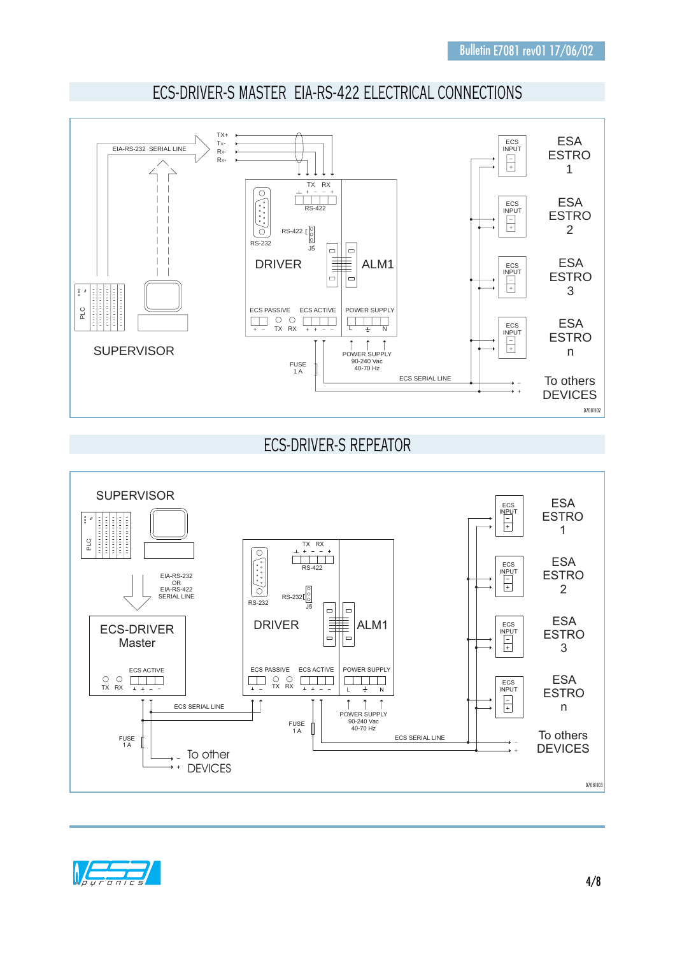

# ECS-DRIVER-S MASTER EIA-RS-422 ELECTRICAL CONNECTIONS

# ECS-DRIVER-S REPEATOR



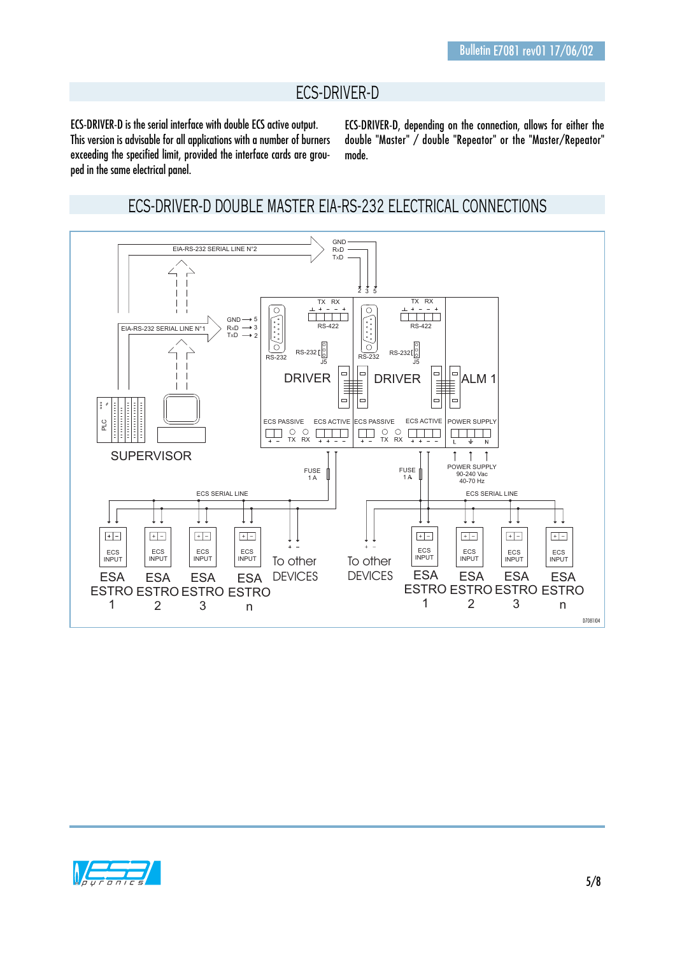## ECS-DRIVER-D

ECS-DRIVER-D is the serial interface with double ECS active output. This version is advisable for all applications with a number of burners exceeding the specified limit, provided the interface cards are grouped in the same electrical panel.

ECS-DRIVER-D, depending on the connection, allows for either the double "Master" / double "Repeator" or the "Master/Repeator" mode.

#### ECS-DRIVER-D DOUBLE MASTER EIA-RS-232 ELECTRICAL CONNECTIONS



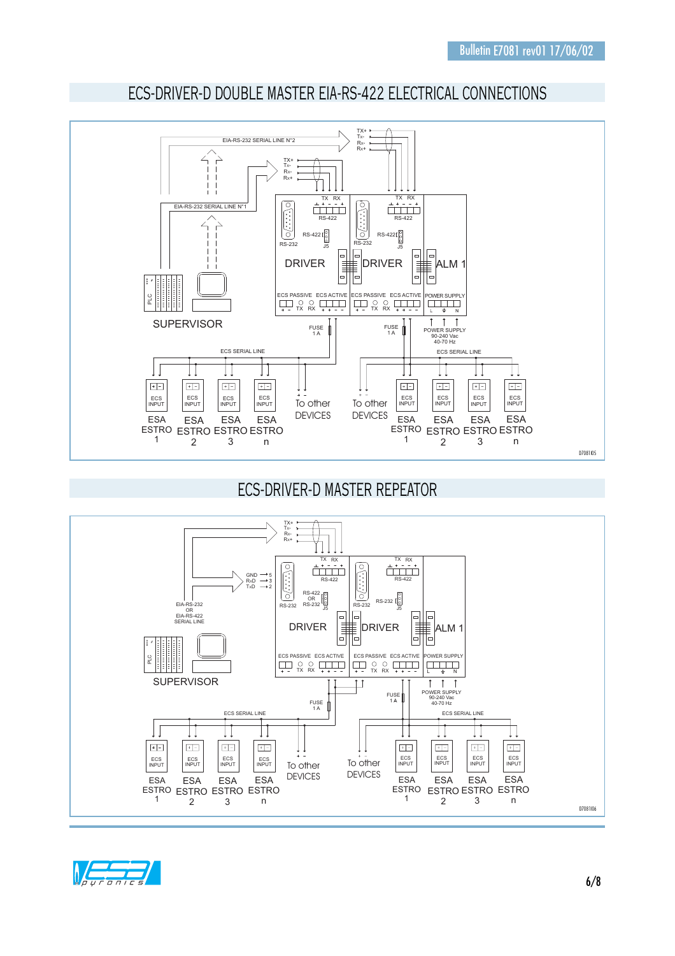

# ECS-DRIVER-D DOUBLE MASTER EIA-RS-422 ELECTRICAL CONNECTIONS

ECS-DRIVER-D MASTER REPEATOR



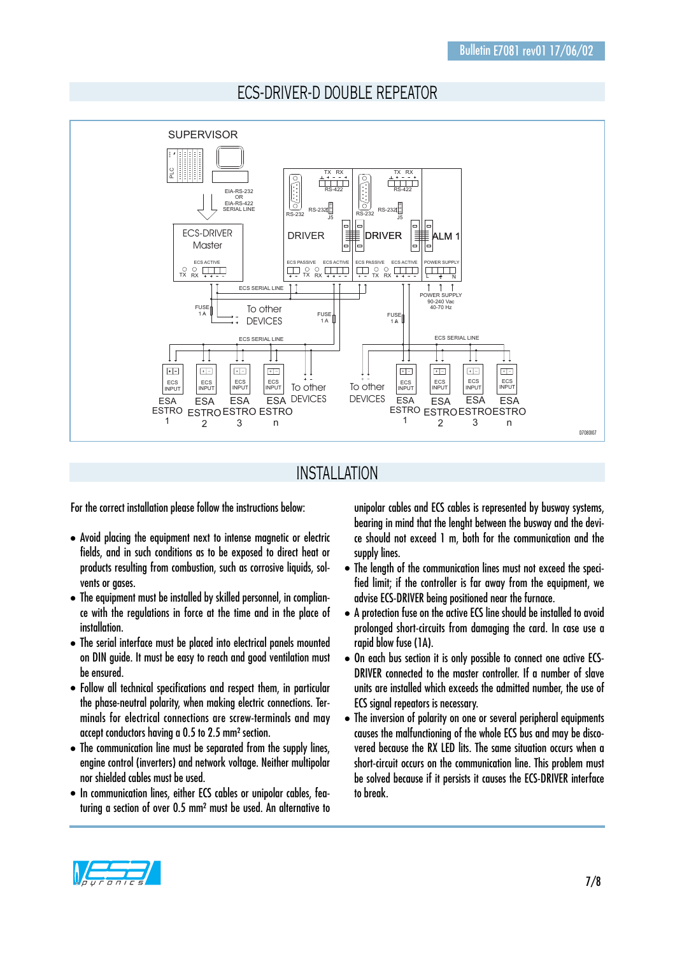



#### INSTALLATION

For the correct installation please follow the instructions below:

- Avoid placing the equipment next to intense magnetic or electric fields, and in such conditions as to be exposed to direct heat or products resulting from combustion, such as corrosive liquids, solvents or gases.
- The equipment must be installed by skilled personnel, in compliance with the regulations in force at the time and in the place of installation.
- The serial interface must be placed into electrical panels mounted on DIN guide. It must be easy to reach and good ventilation must be ensured.
- Follow all technical specifications and respect them, in particular the phase-neutral polarity, when making electric connections. Terminals for electrical connections are screw-terminals and may accept conductors having a 0.5 to 2.5 mm² section.
- The communication line must be separated from the supply lines, engine control (inverters) and network voltage. Neither multipolar nor shielded cables must be used.
- In communication lines, either ECS cables or unipolar cables, featuring a section of over 0.5 mm² must be used. An alternative to

unipolar cables and ECS cables is represented by busway systems, bearing in mind that the lenght between the busway and the device should not exceed 1 m, both for the communication and the supply lines.

- The length of the communication lines must not exceed the specified limit; if the controller is far away from the equipment, we advise ECS-DRIVER being positioned near the furnace.
- A protection fuse on the active ECS line should be installed to avoid prolonged short-circuits from damaging the card. In case use a rapid blow fuse (1A).
- On each bus section it is only possible to connect one active ECS-DRIVER connected to the master controller. If a number of slave units are installed which exceeds the admitted number, the use of ECS signal repeators is necessary.
- The inversion of polarity on one or several peripheral equipments causes the malfunctioning of the whole ECS bus and may be discovered because the RX LED lits. The same situation occurs when a short-circuit occurs on the communication line. This problem must be solved because if it persists it causes the ECS-DRIVER interface to break.